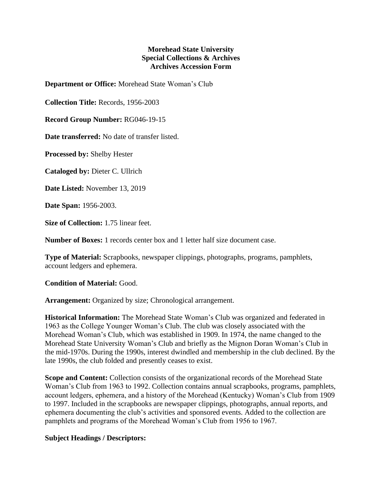## **Morehead State University Special Collections & Archives Archives Accession Form**

**Department or Office:** Morehead State Woman's Club

**Collection Title:** Records, 1956-2003

**Record Group Number:** RG046-19-15

**Date transferred:** No date of transfer listed.

**Processed by:** Shelby Hester

**Cataloged by:** Dieter C. Ullrich

**Date Listed:** November 13, 2019

**Date Span:** 1956-2003.

**Size of Collection:** 1.75 linear feet.

**Number of Boxes:** 1 records center box and 1 letter half size document case.

**Type of Material:** Scrapbooks, newspaper clippings, photographs, programs, pamphlets, account ledgers and ephemera.

**Condition of Material:** Good.

**Arrangement:** Organized by size; Chronological arrangement.

**Historical Information:** The Morehead State Woman's Club was organized and federated in 1963 as the College Younger Woman's Club. The club was closely associated with the Morehead Woman's Club, which was established in 1909. In 1974, the name changed to the Morehead State University Woman's Club and briefly as the Mignon Doran Woman's Club in the mid-1970s. During the 1990s, interest dwindled and membership in the club declined. By the late 1990s, the club folded and presently ceases to exist.

**Scope and Content:** Collection consists of the organizational records of the Morehead State Woman's Club from 1963 to 1992. Collection contains annual scrapbooks, programs, pamphlets, account ledgers, ephemera, and a history of the Morehead (Kentucky) Woman's Club from 1909 to 1997. Included in the scrapbooks are newspaper clippings, photographs, annual reports, and ephemera documenting the club's activities and sponsored events. Added to the collection are pamphlets and programs of the Morehead Woman's Club from 1956 to 1967.

## **Subject Headings / Descriptors:**